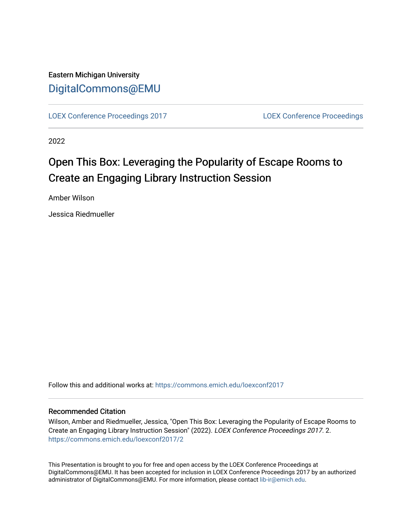## Eastern Michigan University [DigitalCommons@EMU](https://commons.emich.edu/)

[LOEX Conference Proceedings 2017](https://commons.emich.edu/loexconf2017) [LOEX Conference Proceedings](https://commons.emich.edu/loexconf) 

2022

# Open This Box: Leveraging the Popularity of Escape Rooms to Create an Engaging Library Instruction Session

Amber Wilson

Jessica Riedmueller

Follow this and additional works at: [https://commons.emich.edu/loexconf2017](https://commons.emich.edu/loexconf2017?utm_source=commons.emich.edu%2Floexconf2017%2F2&utm_medium=PDF&utm_campaign=PDFCoverPages) 

### Recommended Citation

Wilson, Amber and Riedmueller, Jessica, "Open This Box: Leveraging the Popularity of Escape Rooms to Create an Engaging Library Instruction Session" (2022). LOEX Conference Proceedings 2017. 2. [https://commons.emich.edu/loexconf2017/2](https://commons.emich.edu/loexconf2017/2?utm_source=commons.emich.edu%2Floexconf2017%2F2&utm_medium=PDF&utm_campaign=PDFCoverPages) 

This Presentation is brought to you for free and open access by the LOEX Conference Proceedings at DigitalCommons@EMU. It has been accepted for inclusion in LOEX Conference Proceedings 2017 by an authorized administrator of DigitalCommons@EMU. For more information, please contact [lib-ir@emich.edu](mailto:lib-ir@emich.edu).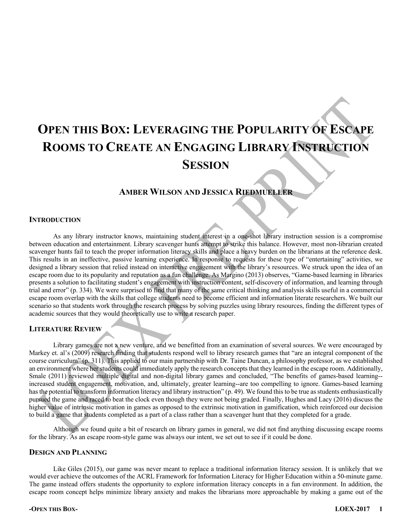# **OPEN THIS BOX: LEVERAGING THE POPULARITY OF ESCAPE ROOMS TO CREATE AN ENGAGING LIBRARY INSTRUCTION SESSION**

### **AMBER WILSON AND JESSICA RIEDMUELLER**

#### **INTRODUCTION**

As any library instructor knows, maintaining student interest in a one-shot library instruction session is a compromise between education and entertainment. Library scavenger hunts attempt to strike this balance. However, most non-librarian created scavenger hunts fail to teach the proper information literacy skills and place a heavy burden on the librarians at the reference desk. This results in an ineffective, passive learning experience. In response to requests for these type of "entertaining" activities, we designed a library session that relied instead on interactive engagement with the library's resources. We struck upon the idea of an escape room due to its popularity and reputation as a fun challenge. As Margino (2013) observes, "Game-based learning in libraries presents a solution to facilitating student's engagement with instruction content, self-discovery of information, and learning through trial and error" (p. 334). We were surprised to find that many of the same critical thinking and analysis skills useful in a commercial escape room overlap with the skills that college students need to become efficient and information literate researchers. We built our scenario so that students work through the research process by solving puzzles using library resources, finding the different types of academic sources that they would theoretically use to write a research paper.

### **LITERATURE REVIEW**

Library games are not a new venture, and we benefitted from an examination of several sources. We were encouraged by Markey et. al's (2009) research finding that students respond well to library research games that "are an integral component of the course curriculum" (p. 311). This applied to our main partnership with Dr. Taine Duncan, a philosophy professor, as we established an environment where her students could immediately apply the research concepts that they learned in the escape room. Additionally, Smale (2011) reviewed multiple digital and non-digital library games and concluded, "The benefits of games-based learning- increased student engagement, motivation, and, ultimately, greater learning--are too compelling to ignore. Games-based learning has the potential to transform information literacy and library instruction" (p. 49). We found this to be true as students enthusiastically pursued the game and raced to beat the clock even though they were not being graded. Finally, Hughes and Lacy (2016) discuss the higher value of intrinsic motivation in games as opposed to the extrinsic motivation in gamification, which reinforced our decision to build a game that students completed as a part of a class rather than a scavenger hunt that they completed for a grade.

Although we found quite a bit of research on library games in general, we did not find anything discussing escape rooms for the library. As an escape room-style game was always our intent, we set out to see if it could be done.

#### **DESIGN AND PLANNING**

Like Giles (2015), our game was never meant to replace a traditional information literacy session. It is unlikely that we would ever achieve the outcomes of the ACRL Framework for Information Literacy for Higher Education within a 50-minute game. The game instead offers students the opportunity to explore information literacy concepts in a fun environment. In addition, the escape room concept helps minimize library anxiety and makes the librarians more approachable by making a game out of the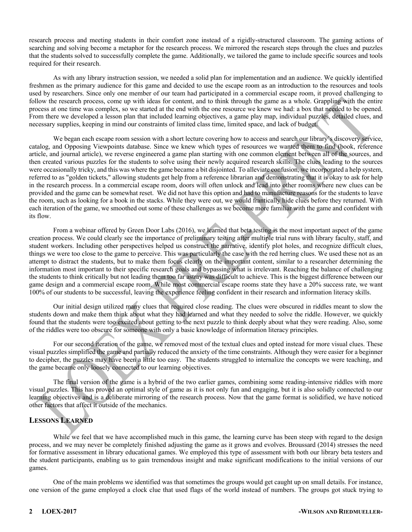research process and meeting students in their comfort zone instead of a rigidly-structured classroom. The gaming actions of searching and solving become a metaphor for the research process. We mirrored the research steps through the clues and puzzles that the students solved to successfully complete the game. Additionally, we tailored the game to include specific sources and tools required for their research.

As with any library instruction session, we needed a solid plan for implementation and an audience. We quickly identified freshmen as the primary audience for this game and decided to use the escape room as an introduction to the resources and tools used by researchers. Since only one member of our team had participated in a commercial escape room, it proved challenging to follow the research process, come up with ideas for content, and to think through the game as a whole. Grappling with the entire process at one time was complex, so we started at the end with the one resource we knew we had: a box that needed to be opened. From there we developed a lesson plan that included learning objectives, a game play map, individual puzzles, detailed clues, and necessary supplies, keeping in mind our constraints of limited class time, limited space, and lack of budget.

We began each escape room session with a short lecture covering how to access and search our library's discovery service, catalog, and Opposing Viewpoints database. Since we knew which types of resources we wanted them to find (book, reference article, and journal article), we reverse engineered a game plan starting with one common element between all of the sources, and then created various puzzles for the students to solve using their newly acquired research skills. The clues leading to the sources were occasionally tricky, and this was where the game became a bit disjointed. To alleviate confusion, we incorporated a help system, referred to as "golden tickets," allowing students get help from a reference librarian and demonstrating that it is okay to ask for help in the research process. In a commercial escape room, doors will often unlock and lead into other rooms where new clues can be provided and the game can be somewhat reset. We did not have this option and had to manufacture reasons for the students to leave the room, such as looking for a book in the stacks. While they were out, we would frantically hide clues before they returned. With each iteration of the game, we smoothed out some of these challenges as we become more familiar with the game and confident with its flow.

From a webinar offered by Green Door Labs (2016), we learned that beta testing is the most important aspect of the game creation process. We could clearly see the importance of preliminary testing after multiple trial runs with library faculty, staff, and student workers. Including other perspectives helped us construct the narrative, identify plot holes, and recognize difficult clues, things we were too close to the game to perceive. This was particularly the case with the red herring clues. We used these not as an attempt to distract the students, but to make them focus clearly on the important content, similar to a researcher determining the information most important to their specific research goals and bypassing what is irrelevant. Reaching the balance of challenging the students to think critically but not leading them too far astray was difficult to achieve. This is the biggest difference between our game design and a commercial escape room. While most commercial escape rooms state they have a 20% success rate, we want 100% of our students to be successful, leaving the experience feeling confident in their research and information literacy skills.

Our initial design utilized many clues that required close reading. The clues were obscured in riddles meant to slow the students down and make them think about what they had learned and what they needed to solve the riddle. However, we quickly found that the students were too excited about getting to the next puzzle to think deeply about what they were reading. Also, some of the riddles were too obscure for someone with only a basic knowledge of information literacy principles.

For our second iteration of the game, we removed most of the textual clues and opted instead for more visual clues. These visual puzzles simplified the game and partially reduced the anxiety of the time constraints. Although they were easier for a beginner to decipher, the puzzles may have been a little too easy. The students struggled to internalize the concepts we were teaching, and the game became only loosely connected to our learning objectives.

The final version of the game is a hybrid of the two earlier games, combining some reading-intensive riddles with more visual puzzles. This has proved an optimal style of game as it is not only fun and engaging, but it is also solidly connected to our learning objectives and is a deliberate mirroring of the research process. Now that the game format is solidified, we have noticed other factors that affect it outside of the mechanics.

## **LESSONS LEARNED**

While we feel that we have accomplished much in this game, the learning curve has been steep with regard to the design process, and we may never be completely finished adjusting the game as it grows and evolves. Broussard (2014) stresses the need for formative assessment in library educational games. We employed this type of assessment with both our library beta testers and the student participants, enabling us to gain tremendous insight and make significant modifications to the initial versions of our games.

One of the main problems we identified was that sometimes the groups would get caught up on small details. For instance, one version of the game employed a clock clue that used flags of the world instead of numbers. The groups got stuck trying to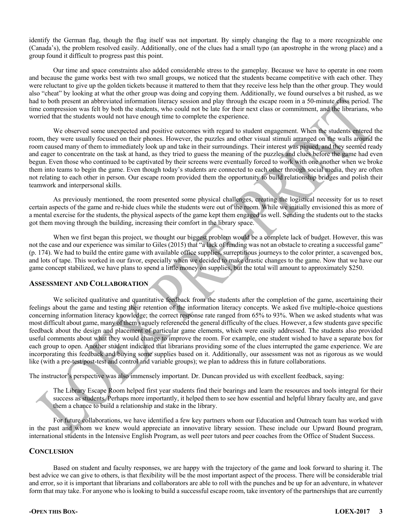identify the German flag, though the flag itself was not important. By simply changing the flag to a more recognizable one (Canada's), the problem resolved easily. Additionally, one of the clues had a small typo (an apostrophe in the wrong place) and a group found it difficult to progress past this point.

Our time and space constraints also added considerable stress to the gameplay. Because we have to operate in one room and because the game works best with two small groups, we noticed that the students became competitive with each other. They were reluctant to give up the golden tickets because it mattered to them that they receive less help than the other group. They would also "cheat" by looking at what the other group was doing and copying them. Additionally, we found ourselves a bit rushed, as we had to both present an abbreviated information literacy session and play through the escape room in a 50-minute class period. The time compression was felt by both the students, who could not be late for their next class or commitment, and the librarians, who worried that the students would not have enough time to complete the experience.

We observed some unexpected and positive outcomes with regard to student engagement. When the students entered the room, they were usually focused on their phones. However, the puzzles and other visual stimuli arranged on the walls around the room caused many of them to immediately look up and take in their surroundings. Their interest was piqued, and they seemed ready and eager to concentrate on the task at hand, as they tried to guess the meaning of the puzzles and clues before the game had even begun. Even those who continued to be captivated by their screens were eventually forced to work with one another when we broke them into teams to begin the game. Even though today's students are connected to each other through social media, they are often not relating to each other in person. Our escape room provided them the opportunity to build relationship bridges and polish their teamwork and interpersonal skills.

As previously mentioned, the room presented some physical challenges, creating the logistical necessity for us to reset certain aspects of the game and re-hide clues while the students were out of the room. While we initially envisioned this as more of a mental exercise for the students, the physical aspects of the game kept them engaged as well. Sending the students out to the stacks got them moving through the building, increasing their comfort in the library space.

When we first began this project, we thought our biggest problem would be a complete lack of budget. However, this was not the case and our experience was similar to Giles (2015) that "a lack of funding was not an obstacle to creating a successful game" (p. 174). We had to build the entire game with available office supplies, surreptitious journeys to the color printer, a scavenged box, and lots of tape. This worked in our favor, especially when we decided to make drastic changes to the game. Now that we have our game concept stabilized, we have plans to spend a little money on supplies, but the total will amount to approximately \$250.

#### **ASSESSMENT AND COLLABORATION**

We solicited qualitative and quantitative feedback from the students after the completion of the game, ascertaining their feelings about the game and testing their retention of the information literacy concepts. We asked five multiple-choice questions concerning information literacy knowledge; the correct response rate ranged from 65% to 93%. When we asked students what was most difficult about game, many of them vaguely referenced the general difficulty of the clues. However, a few students gave specific feedback about the design and placement of particular game elements, which were easily addressed. The students also provided useful comments about what they would change to improve the room. For example, one student wished to have a separate box for each group to open. Another student indicated that librarians providing some of the clues interrupted the game experience. We are incorporating this feedback and buying some supplies based on it. Additionally, our assessment was not as rigorous as we would like (with a pre-test/post-test and control and variable groups); we plan to address this in future collaborations.

The instructor's perspective was also immensely important. Dr. Duncan provided us with excellent feedback, saying:

The Library Escape Room helped first year students find their bearings and learn the resources and tools integral for their success as students. Perhaps more importantly, it helped them to see how essential and helpful library faculty are, and gave them a chance to build a relationship and stake in the library.

For future collaborations, we have identified a few key partners whom our Education and Outreach team has worked with in the past and whom we knew would appreciate an innovative library session. These include our Upward Bound program, international students in the Intensive English Program, as well peer tutors and peer coaches from the Office of Student Success.

#### **CONCLUSION**

Based on student and faculty responses, we are happy with the trajectory of the game and look forward to sharing it. The best advice we can give to others, is that flexibility will be the most important aspect of the process. There will be considerable trial and error, so it is important that librarians and collaborators are able to roll with the punches and be up for an adventure, in whatever form that may take. For anyone who is looking to build a successful escape room, take inventory of the partnerships that are currently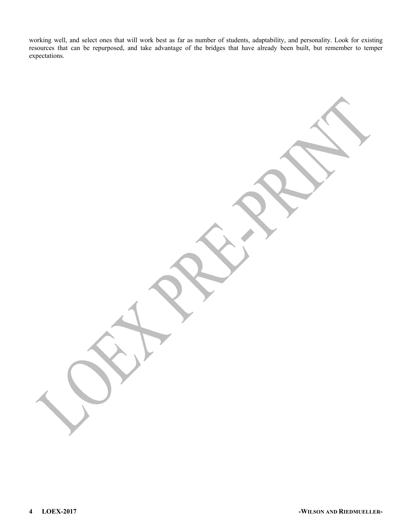working well, and select ones that will work best as far as number of students, adaptability, and personality. Look for existing resources that can be repurposed, and take advantage of the bridges that have already been built, but remember to temper expectations.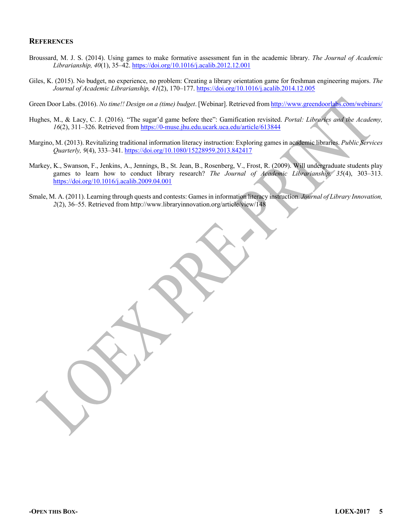#### **REFERENCES**

- Broussard, M. J. S. (2014). Using games to make formative assessment fun in the academic library. *The Journal of Academic Librarianship, 40*(1), 35–42. https://doi.org/10.1016/j.acalib.2012.12.001
- Giles, K. (2015). No budget, no experience, no problem: Creating a library orientation game for freshman engineering majors. *The Journal of Academic Librarianship, 41*(2), 170–177. https://doi.org/10.1016/j.acalib.2014.12.005

Green Door Labs. (2016). *No time!! Design on a (time) budget*. [Webinar]. Retrieved from http://www.greendoorlabs.com/webinars/

- Hughes, M., & Lacy, C. J. (2016). "The sugar'd game before thee": Gamification revisited. *Portal: Libraries and the Academy, 16*(2), 311–326. Retrieved from https://0-muse.jhu.edu.ucark.uca.edu/article/613844
- Margino, M. (2013). Revitalizing traditional information literacy instruction: Exploring games in academic libraries. *Public Services Quarterly, 9*(4), 333–341. https://doi.org/10.1080/15228959.2013.842417
- Markey, K., Swanson, F., Jenkins, A., Jennings, B., St. Jean, B., Rosenberg, V., Frost, R. (2009). Will undergraduate students play games to learn how to conduct library research? *The Journal of Academic Librarianship, 35*(4), 303–313. https://doi.org/10.1016/j.acalib.2009.04.001
- Smale, M. A. (2011). Learning through quests and contests: Games in information literacy instruction. *Journal of Library Innovation, 2*(2), 36–55. Retrieved from http://www.libraryinnovation.org/article/view/148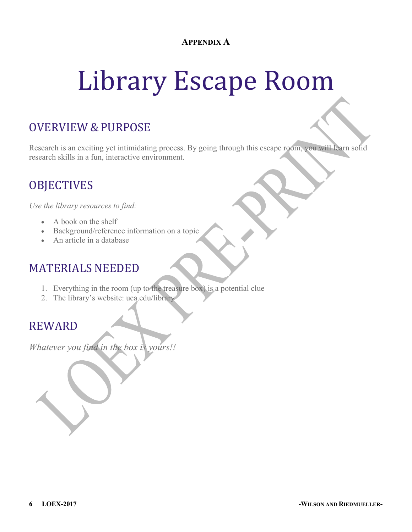## **APPENDIX A**

# Library Escape Room

# OVERVIEW & PURPOSE

Research is an exciting yet intimidating process. By going through this escape room, you will learn solid research skills in a fun, interactive environment.

# **OBJECTIVES**

*Use the library resources to find:*

- A book on the shelf
- Background/reference information on a topic
- An article in a database

# MATERIALS NEEDED

- 1. Everything in the room (up to the treasure box) is a potential clue
- 2. The library's website: uca.edu/library

## REWARD

*Whatever you find in the box is yours!!*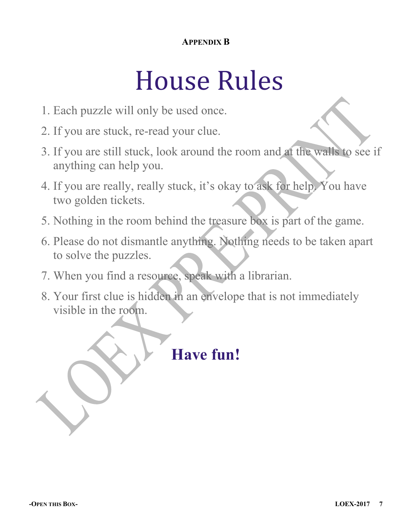## **APPENDIX B**

# House Rules

- 1. Each puzzle will only be used once.
- 2. If you are stuck, re-read your clue.
- 3. If you are still stuck, look around the room and at the walls to see if anything can help you.
- 4. If you are really, really stuck, it's okay to ask for help. You have two golden tickets.
- 5. Nothing in the room behind the treasure box is part of the game.
- 6. Please do not dismantle anything. Nothing needs to be taken apart to solve the puzzles.
- 7. When you find a resource, speak with a librarian.
- 8. Your first clue is hidden in an envelope that is not immediately visible in the room.

# **Have fun!**